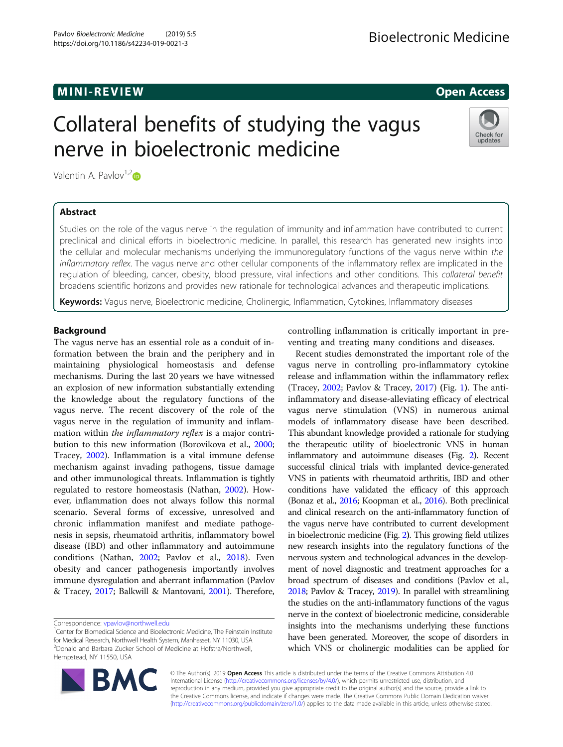# MINI -R EVI EW Open Access

Check for updates

# Collateral benefits of studying the vagus nerve in bioelectronic medicine

Valentin A. Pavlov $1,2$  $1,2$ 

# Abstract

Studies on the role of the vagus nerve in the regulation of immunity and inflammation have contributed to current preclinical and clinical efforts in bioelectronic medicine. In parallel, this research has generated new insights into the cellular and molecular mechanisms underlying the immunoregulatory functions of the vagus nerve within the inflammatory reflex. The vagus nerve and other cellular components of the inflammatory reflex are implicated in the regulation of bleeding, cancer, obesity, blood pressure, viral infections and other conditions. This collateral benefit broadens scientific horizons and provides new rationale for technological advances and therapeutic implications.

Keywords: Vagus nerve, Bioelectronic medicine, Cholinergic, Inflammation, Cytokines, Inflammatory diseases

# **Background**

The vagus nerve has an essential role as a conduit of information between the brain and the periphery and in maintaining physiological homeostasis and defense mechanisms. During the last 20 years we have witnessed an explosion of new information substantially extending the knowledge about the regulatory functions of the vagus nerve. The recent discovery of the role of the vagus nerve in the regulation of immunity and inflammation within the inflammatory reflex is a major contribution to this new information (Borovikova et al., [2000](#page-5-0); Tracey, [2002\)](#page-7-0). Inflammation is a vital immune defense mechanism against invading pathogens, tissue damage and other immunological threats. Inflammation is tightly regulated to restore homeostasis (Nathan, [2002\)](#page-6-0). However, inflammation does not always follow this normal scenario. Several forms of excessive, unresolved and chronic inflammation manifest and mediate pathogenesis in sepsis, rheumatoid arthritis, inflammatory bowel disease (IBD) and other inflammatory and autoimmune conditions (Nathan, [2002](#page-6-0); Pavlov et al., [2018](#page-6-0)). Even obesity and cancer pathogenesis importantly involves immune dysregulation and aberrant inflammation (Pavlov & Tracey, [2017;](#page-6-0) Balkwill & Mantovani, [2001](#page-5-0)). Therefore,

Correspondence: [vpavlov@northwell.edu](mailto:vpavlov@northwell.edu) <sup>1</sup>

<sup>1</sup>Center for Biomedical Science and Bioelectronic Medicine, The Feinstein Institute for Medical Research, Northwell Health System, Manhasset, NY 11030, USA <sup>2</sup> <sup>2</sup> Donald and Barbara Zucker School of Medicine at Hofstra/Northwell, Hempstead, NY 11550, USA



controlling inflammation is critically important in preventing and treating many conditions and diseases.

Recent studies demonstrated the important role of the vagus nerve in controlling pro-inflammatory cytokine release and inflammation within the inflammatory reflex (Tracey,  $2002$ ; Pavlov & Tracey,  $2017$ ) (Fig. [1](#page-1-0)). The antiinflammatory and disease-alleviating efficacy of electrical vagus nerve stimulation (VNS) in numerous animal models of inflammatory disease have been described. This abundant knowledge provided a rationale for studying the therapeutic utility of bioelectronic VNS in human inflammatory and autoimmune diseases (Fig. [2](#page-2-0)). Recent successful clinical trials with implanted device-generated VNS in patients with rheumatoid arthritis, IBD and other conditions have validated the efficacy of this approach (Bonaz et al., [2016](#page-5-0); Koopman et al., [2016](#page-6-0)). Both preclinical and clinical research on the anti-inflammatory function of the vagus nerve have contributed to current development in bioelectronic medicine (Fig. [2](#page-2-0)). This growing field utilizes new research insights into the regulatory functions of the nervous system and technological advances in the development of novel diagnostic and treatment approaches for a broad spectrum of diseases and conditions (Pavlov et al., [2018;](#page-6-0) Pavlov & Tracey, [2019](#page-6-0)). In parallel with streamlining the studies on the anti-inflammatory functions of the vagus nerve in the context of bioelectronic medicine, considerable insights into the mechanisms underlying these functions have been generated. Moreover, the scope of disorders in which VNS or cholinergic modalities can be applied for

© The Author(s). 2019 **Open Access** This article is distributed under the terms of the Creative Commons Attribution 4.0 International License [\(http://creativecommons.org/licenses/by/4.0/](http://creativecommons.org/licenses/by/4.0/)), which permits unrestricted use, distribution, and reproduction in any medium, provided you give appropriate credit to the original author(s) and the source, provide a link to the Creative Commons license, and indicate if changes were made. The Creative Commons Public Domain Dedication waiver [\(http://creativecommons.org/publicdomain/zero/1.0/](http://creativecommons.org/publicdomain/zero/1.0/)) applies to the data made available in this article, unless otherwise stated.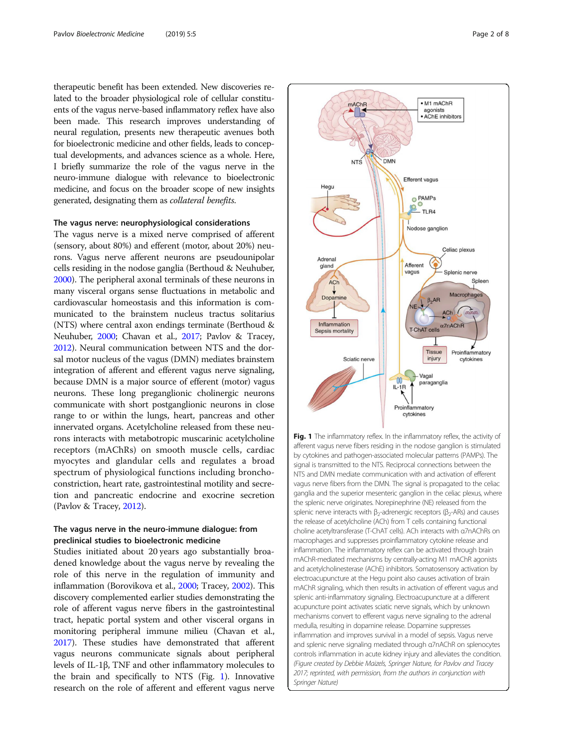<span id="page-1-0"></span>therapeutic benefit has been extended. New discoveries related to the broader physiological role of cellular constituents of the vagus nerve-based inflammatory reflex have also been made. This research improves understanding of neural regulation, presents new therapeutic avenues both for bioelectronic medicine and other fields, leads to conceptual developments, and advances science as a whole. Here, I briefly summarize the role of the vagus nerve in the neuro-immune dialogue with relevance to bioelectronic medicine, and focus on the broader scope of new insights generated, designating them as collateral benefits.

# The vagus nerve: neurophysiological considerations

The vagus nerve is a mixed nerve comprised of afferent (sensory, about 80%) and efferent (motor, about 20%) neurons. Vagus nerve afferent neurons are pseudounipolar cells residing in the nodose ganglia (Berthoud & Neuhuber, [2000\)](#page-5-0). The peripheral axonal terminals of these neurons in many visceral organs sense fluctuations in metabolic and cardiovascular homeostasis and this information is communicated to the brainstem nucleus tractus solitarius (NTS) where central axon endings terminate (Berthoud & Neuhuber, [2000](#page-5-0); Chavan et al., [2017](#page-6-0); Pavlov & Tracey, [2012\)](#page-6-0). Neural communication between NTS and the dorsal motor nucleus of the vagus (DMN) mediates brainstem integration of afferent and efferent vagus nerve signaling, because DMN is a major source of efferent (motor) vagus neurons. These long preganglionic cholinergic neurons communicate with short postganglionic neurons in close range to or within the lungs, heart, pancreas and other innervated organs. Acetylcholine released from these neurons interacts with metabotropic muscarinic acetylcholine receptors (mAChRs) on smooth muscle cells, cardiac myocytes and glandular cells and regulates a broad spectrum of physiological functions including bronchoconstriction, heart rate, gastrointestinal motility and secretion and pancreatic endocrine and exocrine secretion (Pavlov & Tracey, [2012](#page-6-0)).

## The vagus nerve in the neuro-immune dialogue: from preclinical studies to bioelectronic medicine

Studies initiated about 20 years ago substantially broadened knowledge about the vagus nerve by revealing the role of this nerve in the regulation of immunity and inflammation (Borovikova et al., [2000;](#page-5-0) Tracey, [2002\)](#page-7-0). This discovery complemented earlier studies demonstrating the role of afferent vagus nerve fibers in the gastrointestinal tract, hepatic portal system and other visceral organs in monitoring peripheral immune milieu (Chavan et al., [2017\)](#page-6-0). These studies have demonstrated that afferent vagus neurons communicate signals about peripheral levels of IL-1β, TNF and other inflammatory molecules to the brain and specifically to NTS (Fig. 1). Innovative research on the role of afferent and efferent vagus nerve



Fig. 1 The inflammatory reflex. In the inflammatory reflex, the activity of afferent vagus nerve fibers residing in the nodose ganglion is stimulated by cytokines and pathogen-associated molecular patterns (PAMPs). The signal is transmitted to the NTS. Reciprocal connections between the NTS and DMN mediate communication with and activation of efferent vagus nerve fibers from the DMN. The signal is propagated to the celiac ganglia and the superior mesenteric ganglion in the celiac plexus, where the splenic nerve originates. Norepinephrine (NE) released from the splenic nerve interacts with  $β_2$ -adrenergic receptors ( $β_2$ -ARs) and causes the release of acetylcholine (ACh) from T cells containing functional choline acetyltransferase (T-ChAT cells). ACh interacts with α7nAChRs on macrophages and suppresses proinflammatory cytokine release and inflammation. The inflammatory reflex can be activated through brain mAChR-mediated mechanisms by centrally-acting M1 mAChR agonists and acetylcholinesterase (AChE) inhibitors. Somatosensory activation by electroacupuncture at the Hegu point also causes activation of brain mAChR signaling, which then results in activation of efferent vagus and splenic anti-inflammatory signaling. Electroacupuncture at a different acupuncture point activates sciatic nerve signals, which by unknown mechanisms convert to efferent vagus nerve signaling to the adrenal medulla, resulting in dopamine release. Dopamine suppresses inflammation and improves survival in a model of sepsis. Vagus nerve and splenic nerve signaling mediated through α7nAChR on splenocytes controls inflammation in acute kidney injury and alleviates the condition. (Figure created by Debbie Maizels, Springer Nature, for Pavlov and Tracey 2017; reprinted, with permission, from the authors in conjunction with Springer Nature)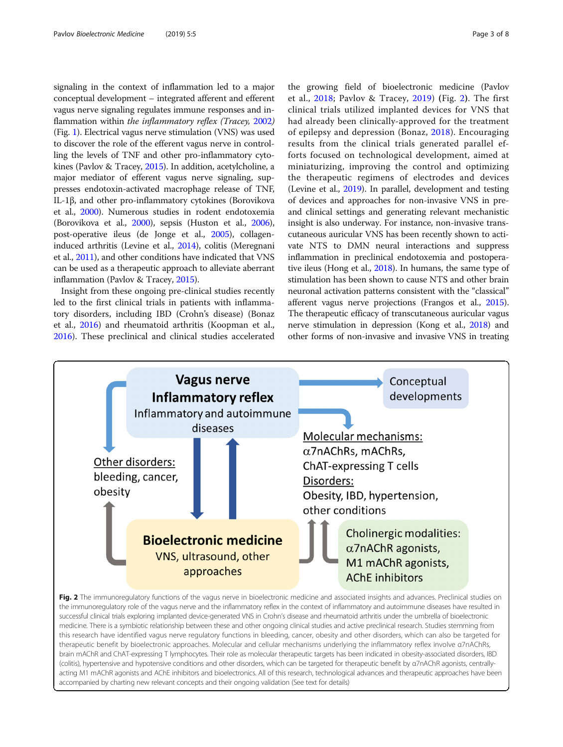<span id="page-2-0"></span>signaling in the context of inflammation led to a major conceptual development – integrated afferent and efferent vagus nerve signaling regulates immune responses and inflammation within *the inflammatory reflex (Tracey, [2002](#page-7-0))* (Fig. [1](#page-1-0)). Electrical vagus nerve stimulation (VNS) was used to discover the role of the efferent vagus nerve in controlling the levels of TNF and other pro-inflammatory cytokines (Pavlov & Tracey, [2015\)](#page-6-0). In addition, acetylcholine, a major mediator of efferent vagus nerve signaling, suppresses endotoxin-activated macrophage release of TNF, IL-1β, and other pro-inflammatory cytokines (Borovikova et al., [2000](#page-5-0)). Numerous studies in rodent endotoxemia (Borovikova et al., [2000\)](#page-5-0), sepsis (Huston et al., [2006](#page-6-0)), post-operative ileus (de Jonge et al., [2005\)](#page-6-0), collageninduced arthritis (Levine et al., [2014](#page-6-0)), colitis (Meregnani et al., [2011\)](#page-6-0), and other conditions have indicated that VNS can be used as a therapeutic approach to alleviate aberrant inflammation (Pavlov & Tracey, [2015\)](#page-6-0).

Insight from these ongoing pre-clinical studies recently led to the first clinical trials in patients with inflammatory disorders, including IBD (Crohn's disease) (Bonaz et al., [2016](#page-5-0)) and rheumatoid arthritis (Koopman et al., [2016](#page-6-0)). These preclinical and clinical studies accelerated

the growing field of bioelectronic medicine (Pavlov et al., [2018;](#page-6-0) Pavlov & Tracey, [2019\)](#page-6-0) (Fig. 2). The first clinical trials utilized implanted devices for VNS that had already been clinically-approved for the treatment of epilepsy and depression (Bonaz, [2018\)](#page-5-0). Encouraging results from the clinical trials generated parallel efforts focused on technological development, aimed at miniaturizing, improving the control and optimizing the therapeutic regimens of electrodes and devices (Levine et al., [2019\)](#page-6-0). In parallel, development and testing of devices and approaches for non-invasive VNS in preand clinical settings and generating relevant mechanistic insight is also underway. For instance, non-invasive transcutaneous auricular VNS has been recently shown to activate NTS to DMN neural interactions and suppress inflammation in preclinical endotoxemia and postoperative ileus (Hong et al., [2018](#page-6-0)). In humans, the same type of stimulation has been shown to cause NTS and other brain neuronal activation patterns consistent with the "classical" afferent vagus nerve projections (Frangos et al., [2015](#page-6-0)). The therapeutic efficacy of transcutaneous auricular vagus nerve stimulation in depression (Kong et al., [2018](#page-6-0)) and other forms of non-invasive and invasive VNS in treating

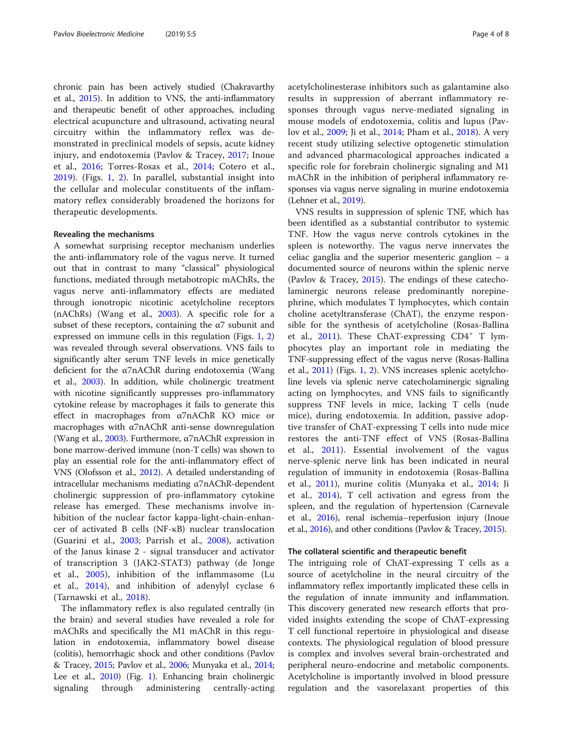chronic pain has been actively studied (Chakravarthy et al., [2015](#page-5-0)). In addition to VNS, the anti-inflammatory and therapeutic benefit of other approaches, including electrical acupuncture and ultrasound, activating neural circuitry within the inflammatory reflex was demonstrated in preclinical models of sepsis, acute kidney injury, and endotoxemia (Pavlov & Tracey, [2017](#page-6-0); Inoue et al., [2016;](#page-6-0) Torres-Rosas et al., [2014;](#page-7-0) Cotero et al., [2019\)](#page-6-0). (Figs. [1,](#page-1-0) [2\)](#page-2-0). In parallel, substantial insight into the cellular and molecular constituents of the inflammatory reflex considerably broadened the horizons for therapeutic developments.

### Revealing the mechanisms

A somewhat surprising receptor mechanism underlies the anti-inflammatory role of the vagus nerve. It turned out that in contrast to many "classical" physiological functions, mediated through metabotropic mAChRs, the vagus nerve anti-inflammatory effects are mediated through ionotropic nicotinic acetylcholine receptors (nAChRs) (Wang et al., [2003\)](#page-7-0). A specific role for a subset of these receptors, containing the  $\alpha$ 7 subunit and expressed on immune cells in this regulation (Figs. [1,](#page-1-0) [2](#page-2-0)) was revealed through several observations. VNS fails to significantly alter serum TNF levels in mice genetically deficient for the α7nAChR during endotoxemia (Wang et al., [2003](#page-7-0)). In addition, while cholinergic treatment with nicotine significantly suppresses pro-inflammatory cytokine release by macrophages it fails to generate this effect in macrophages from α7nAChR KO mice or macrophages with α7nAChR anti-sense downregulation (Wang et al., [2003](#page-7-0)). Furthermore, α7nAChR expression in bone marrow-derived immune (non-T cells) was shown to play an essential role for the anti-inflammatory effect of VNS (Olofsson et al., [2012\)](#page-6-0). A detailed understanding of intracellular mechanisms mediating α7nAChR-dependent cholinergic suppression of pro-inflammatory cytokine release has emerged. These mechanisms involve inhibition of the nuclear factor kappa-light-chain-enhancer of activated B cells (NF-κB) nuclear translocation (Guarini et al., [2003;](#page-6-0) Parrish et al., [2008](#page-6-0)), activation of the Janus kinase 2 - signal transducer and activator of transcription 3 (JAK2-STAT3) pathway (de Jonge et al., [2005\)](#page-6-0), inhibition of the inflammasome (Lu et al., [2014](#page-6-0)), and inhibition of adenylyl cyclase 6 (Tarnawski et al., [2018\)](#page-7-0).

The inflammatory reflex is also regulated centrally (in the brain) and several studies have revealed a role for mAChRs and specifically the M1 mAChR in this regulation in endotoxemia, inflammatory bowel disease (colitis), hemorrhagic shock and other conditions (Pavlov & Tracey, [2015](#page-6-0); Pavlov et al., [2006](#page-6-0); Munyaka et al., [2014](#page-6-0); Lee et al., [2010](#page-6-0)) (Fig. [1](#page-1-0)). Enhancing brain cholinergic signaling through administering centrally-acting acetylcholinesterase inhibitors such as galantamine also results in suppression of aberrant inflammatory responses through vagus nerve-mediated signaling in mouse models of endotoxemia, colitis and lupus (Pavlov et al., [2009;](#page-6-0) Ji et al., [2014](#page-6-0); Pham et al., [2018](#page-6-0)). A very recent study utilizing selective optogenetic stimulation and advanced pharmacological approaches indicated a specific role for forebrain cholinergic signaling and M1 mAChR in the inhibition of peripheral inflammatory responses via vagus nerve signaling in murine endotoxemia (Lehner et al., [2019](#page-6-0)).

VNS results in suppression of splenic TNF, which has been identified as a substantial contributor to systemic TNF. How the vagus nerve controls cytokines in the spleen is noteworthy. The vagus nerve innervates the celiac ganglia and the superior mesenteric ganglion – a documented source of neurons within the splenic nerve (Pavlov & Tracey, [2015\)](#page-6-0). The endings of these catecholaminergic neurons release predominantly norepinephrine, which modulates T lymphocytes, which contain choline acetyltransferase (ChAT), the enzyme responsible for the synthesis of acetylcholine (Rosas-Ballina et al., [2011](#page-6-0)). These ChAT-expressing  $CD4^+$  T lymphocytes play an important role in mediating the TNF-suppressing effect of the vagus nerve (Rosas-Ballina et al., [2011](#page-6-0)) (Figs. [1](#page-1-0), [2\)](#page-2-0). VNS increases splenic acetylcholine levels via splenic nerve catecholaminergic signaling acting on lymphocytes, and VNS fails to significantly suppress TNF levels in mice, lacking T cells (nude mice), during endotoxemia. In addition, passive adoptive transfer of ChAT-expressing T cells into nude mice restores the anti-TNF effect of VNS (Rosas-Ballina et al., [2011](#page-6-0)). Essential involvement of the vagus nerve-splenic nerve link has been indicated in neural regulation of immunity in endotoxemia (Rosas-Ballina et al., [2011](#page-6-0)), murine colitis (Munyaka et al., [2014;](#page-6-0) Ji et al., [2014](#page-6-0)), T cell activation and egress from the spleen, and the regulation of hypertension (Carnevale et al., [2016](#page-5-0)), renal ischemia–reperfusion injury (Inoue et al., [2016\)](#page-6-0), and other conditions (Pavlov & Tracey, [2015\)](#page-6-0).

#### The collateral scientific and therapeutic benefit

The intriguing role of ChAT-expressing T cells as a source of acetylcholine in the neural circuitry of the inflammatory reflex importantly implicated these cells in the regulation of innate immunity and inflammation. This discovery generated new research efforts that provided insights extending the scope of ChAT-expressing T cell functional repertoire in physiological and disease contexts. The physiological regulation of blood pressure is complex and involves several brain-orchestrated and peripheral neuro-endocrine and metabolic components. Acetylcholine is importantly involved in blood pressure regulation and the vasorelaxant properties of this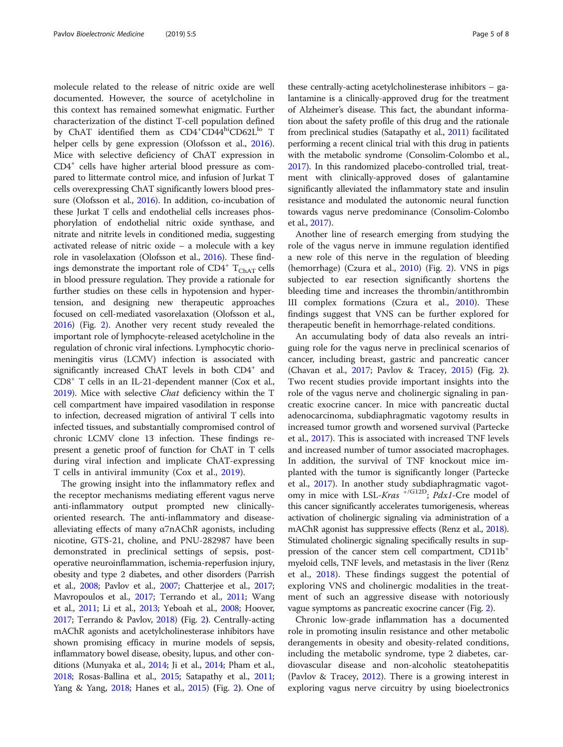molecule related to the release of nitric oxide are well documented. However, the source of acetylcholine in this context has remained somewhat enigmatic. Further characterization of the distinct T-cell population defined by ChAT identified them as  $CD4^{\circ}CD44^{\circ}CD62L^{\text{lo}}$  T helper cells by gene expression (Olofsson et al., [2016](#page-6-0)). Mice with selective deficiency of ChAT expression in CD4+ cells have higher arterial blood pressure as compared to littermate control mice, and infusion of Jurkat T cells overexpressing ChAT significantly lowers blood pressure (Olofsson et al., [2016](#page-6-0)). In addition, co-incubation of these Jurkat T cells and endothelial cells increases phosphorylation of endothelial nitric oxide synthase, and nitrate and nitrite levels in conditioned media, suggesting activated release of nitric oxide – a molecule with a key role in vasolelaxation (Olofsson et al., [2016\)](#page-6-0). These findings demonstrate the important role of  $CD4^+$  T<sub>ChAT</sub> cells in blood pressure regulation. They provide a rationale for further studies on these cells in hypotension and hypertension, and designing new therapeutic approaches focused on cell-mediated vasorelaxation (Olofsson et al., [2016\)](#page-6-0) (Fig. [2\)](#page-2-0). Another very recent study revealed the important role of lymphocyte-released acetylcholine in the regulation of chronic viral infections. Lymphocytic choriomeningitis virus (LCMV) infection is associated with significantly increased ChAT levels in both CD4<sup>+</sup> and CD8+ T cells in an IL-21-dependent manner (Cox et al., [2019\)](#page-6-0). Mice with selective Chat deficiency within the T cell compartment have impaired vasodilation in response to infection, decreased migration of antiviral T cells into infected tissues, and substantially compromised control of chronic LCMV clone 13 infection. These findings represent a genetic proof of function for ChAT in T cells during viral infection and implicate ChAT-expressing T cells in antiviral immunity (Cox et al., [2019](#page-6-0)).

The growing insight into the inflammatory reflex and the receptor mechanisms mediating efferent vagus nerve anti-inflammatory output prompted new clinicallyoriented research. The anti-inflammatory and diseasealleviating effects of many  $\alpha$ 7nAChR agonists, including nicotine, GTS-21, choline, and PNU-282987 have been demonstrated in preclinical settings of sepsis, postoperative neuroinflammation, ischemia-reperfusion injury, obesity and type 2 diabetes, and other disorders (Parrish et al., [2008;](#page-6-0) Pavlov et al., [2007](#page-6-0); Chatterjee et al., [2017](#page-5-0); Mavropoulos et al., [2017](#page-6-0); Terrando et al., [2011](#page-7-0); Wang et al., [2011;](#page-7-0) Li et al., [2013;](#page-6-0) Yeboah et al., [2008](#page-7-0); Hoover, [2017;](#page-6-0) Terrando & Pavlov, [2018\)](#page-7-0) (Fig. [2](#page-2-0)). Centrally-acting mAChR agonists and acetylcholinesterase inhibitors have shown promising efficacy in murine models of sepsis, inflammatory bowel disease, obesity, lupus, and other conditions (Munyaka et al., [2014](#page-6-0); Ji et al., [2014](#page-6-0); Pham et al., [2018;](#page-6-0) Rosas-Ballina et al., [2015;](#page-6-0) Satapathy et al., [2011](#page-6-0); Yang & Yang, [2018;](#page-7-0) Hanes et al., [2015](#page-6-0)) (Fig. [2](#page-2-0)). One of

these centrally-acting acetylcholinesterase inhibitors – galantamine is a clinically-approved drug for the treatment of Alzheimer's disease. This fact, the abundant information about the safety profile of this drug and the rationale from preclinical studies (Satapathy et al., [2011](#page-6-0)) facilitated performing a recent clinical trial with this drug in patients with the metabolic syndrome (Consolim-Colombo et al., [2017\)](#page-6-0). In this randomized placebo-controlled trial, treatment with clinically-approved doses of galantamine significantly alleviated the inflammatory state and insulin resistance and modulated the autonomic neural function towards vagus nerve predominance (Consolim-Colombo et al., [2017\)](#page-6-0).

Another line of research emerging from studying the role of the vagus nerve in immune regulation identified a new role of this nerve in the regulation of bleeding (hemorrhage) (Czura et al., [2010\)](#page-6-0) (Fig. [2](#page-2-0)). VNS in pigs subjected to ear resection significantly shortens the bleeding time and increases the thrombin/antithrombin III complex formations (Czura et al., [2010\)](#page-6-0). These findings suggest that VNS can be further explored for therapeutic benefit in hemorrhage-related conditions.

An accumulating body of data also reveals an intriguing role for the vagus nerve in preclinical scenarios of cancer, including breast, gastric and pancreatic cancer (Chavan et al., [2017;](#page-6-0) Pavlov & Tracey, [2015](#page-6-0)) (Fig. [2](#page-2-0)). Two recent studies provide important insights into the role of the vagus nerve and cholinergic signaling in pancreatic exocrine cancer. In mice with pancreatic ductal adenocarcinoma, subdiaphragmatic vagotomy results in increased tumor growth and worsened survival (Partecke et al., [2017](#page-6-0)). This is associated with increased TNF levels and increased number of tumor associated macrophages. In addition, the survival of TNF knockout mice implanted with the tumor is significantly longer (Partecke et al., [2017\)](#page-6-0). In another study subdiaphragmatic vagotomy in mice with LSL-Kras  $^{+/G12D}$ ; Pdx1-Cre model of this cancer significantly accelerates tumorigenesis, whereas activation of cholinergic signaling via administration of a mAChR agonist has suppressive effects (Renz et al., [2018](#page-6-0)). Stimulated cholinergic signaling specifically results in suppression of the cancer stem cell compartment, CD11b<sup>+</sup> myeloid cells, TNF levels, and metastasis in the liver (Renz et al., [2018\)](#page-6-0). These findings suggest the potential of exploring VNS and cholinergic modalities in the treatment of such an aggressive disease with notoriously vague symptoms as pancreatic exocrine cancer (Fig. [2\)](#page-2-0).

Chronic low-grade inflammation has a documented role in promoting insulin resistance and other metabolic derangements in obesity and obesity-related conditions, including the metabolic syndrome, type 2 diabetes, cardiovascular disease and non-alcoholic steatohepatitis (Pavlov & Tracey, [2012\)](#page-6-0). There is a growing interest in exploring vagus nerve circuitry by using bioelectronics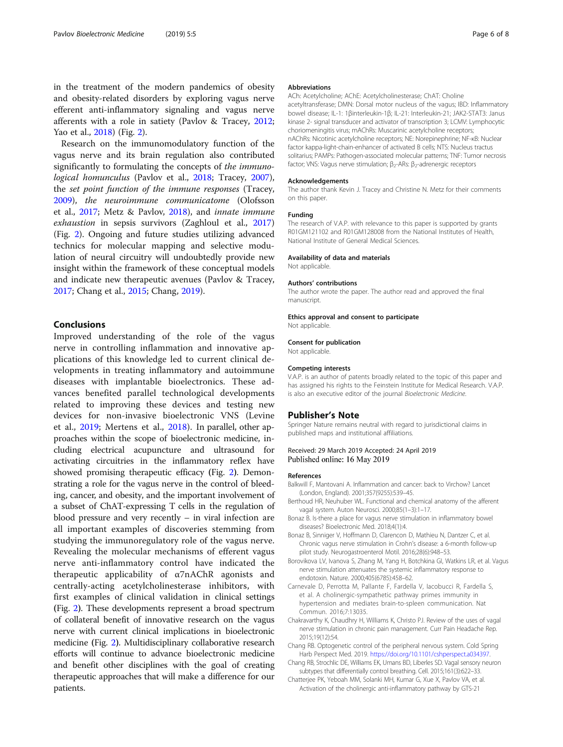<span id="page-5-0"></span>in the treatment of the modern pandemics of obesity and obesity-related disorders by exploring vagus nerve efferent anti-inflammatory signaling and vagus nerve afferents with a role in satiety (Pavlov & Tracey, [2012](#page-6-0); Yao et al., [2018\)](#page-7-0) (Fig. [2\)](#page-2-0).

Research on the immunomodulatory function of the vagus nerve and its brain regulation also contributed significantly to formulating the concepts of the *immuno-*logical homunculus (Pavlov et al., [2018](#page-6-0); Tracey, [2007](#page-7-0)), the set point function of the immune responses (Tracey, [2009](#page-7-0)), the neuroimmune communicatome (Olofsson et al., [2017](#page-6-0); Metz & Pavlov, [2018](#page-6-0)), and innate immune exhaustion in sepsis survivors (Zaghloul et al., [2017](#page-7-0)) (Fig. [2\)](#page-2-0). Ongoing and future studies utilizing advanced technics for molecular mapping and selective modulation of neural circuitry will undoubtedly provide new insight within the framework of these conceptual models and indicate new therapeutic avenues (Pavlov & Tracey, [2017](#page-6-0); Chang et al., 2015; Chang, 2019).

# Conclusions

Improved understanding of the role of the vagus nerve in controlling inflammation and innovative applications of this knowledge led to current clinical developments in treating inflammatory and autoimmune diseases with implantable bioelectronics. These advances benefited parallel technological developments related to improving these devices and testing new devices for non-invasive bioelectronic VNS (Levine et al., [2019;](#page-6-0) Mertens et al., [2018\)](#page-6-0). In parallel, other approaches within the scope of bioelectronic medicine, including electrical acupuncture and ultrasound for activating circuitries in the inflammatory reflex have showed promising therapeutic efficacy (Fig. [2](#page-2-0)). Demonstrating a role for the vagus nerve in the control of bleeding, cancer, and obesity, and the important involvement of a subset of ChAT-expressing T cells in the regulation of blood pressure and very recently – in viral infection are all important examples of discoveries stemming from studying the immunoregulatory role of the vagus nerve. Revealing the molecular mechanisms of efferent vagus nerve anti-inflammatory control have indicated the therapeutic applicability of α7nAChR agonists and centrally-acting acetylcholinesterase inhibitors, with first examples of clinical validation in clinical settings (Fig. [2](#page-2-0)). These developments represent a broad spectrum of collateral benefit of innovative research on the vagus nerve with current clinical implications in bioelectronic medicine (Fig. [2](#page-2-0)). Multidisciplinary collaborative research efforts will continue to advance bioelectronic medicine and benefit other disciplines with the goal of creating therapeutic approaches that will make a difference for our patients.

#### Abbreviations

ACh: Acetylcholine; AChE: Acetylcholinesterase; ChAT: Choline acetyltransferase; DMN: Dorsal motor nucleus of the vagus; IBD: Inflammatory bowel disease; IL-1: 1βinterleukin-1β; IL-21: Interleukin-21; JAK2-STAT3: Janus kinase 2- signal transducer and activator of transcription 3; LCMV: Lymphocytic choriomeningitis virus; mAChRs: Muscarinic acetylcholine receptors; nAChRs: Nicotinic acetylcholine receptors; NE: Norepinephrine; NF-κB: Nuclear factor kappa-light-chain-enhancer of activated B cells; NTS: Nucleus tractus solitarius; PAMPs: Pathogen-associated molecular patterns; TNF: Tumor necrosis factor; VNS: Vagus nerve stimulation;  $β_2$ -ARs:  $β_2$ -adrenergic receptors

#### Acknowledgements

The author thank Kevin J. Tracey and Christine N. Metz for their comments on this paper.

#### Funding

The research of V.A.P. with relevance to this paper is supported by grants R01GM121102 and R01GM128008 from the National Institutes of Health, National Institute of General Medical Sciences.

#### Availability of data and materials

Not applicable.

#### Authors' contributions

The author wrote the paper. The author read and approved the final manuscript.

#### Ethics approval and consent to participate

Not applicable.

#### Consent for publication Not applicable.

Competing interests

V.A.P. is an author of patents broadly related to the topic of this paper and has assigned his rights to the Feinstein Institute for Medical Research. V.A.P. is also an executive editor of the journal Bioelectronic Medicine.

#### Publisher's Note

Springer Nature remains neutral with regard to jurisdictional claims in published maps and institutional affiliations.

#### Received: 29 March 2019 Accepted: 24 April 2019 Published online: 16 May 2019

#### References

- Balkwill F, Mantovani A. Inflammation and cancer: back to Virchow? Lancet (London, England). 2001;357(9255):539–45.
- Berthoud HR, Neuhuber WL. Functional and chemical anatomy of the afferent vagal system. Auton Neurosci. 2000;85(1–3):1–17.
- Bonaz B. Is-there a place for vagus nerve stimulation in inflammatory bowel diseases? Bioelectronic Med. 2018;4(1):4.
- Bonaz B, Sinniger V, Hoffmann D, Clarencon D, Mathieu N, Dantzer C, et al. Chronic vagus nerve stimulation in Crohn's disease: a 6-month follow-up pilot study. Neurogastroenterol Motil. 2016;28(6):948–53.
- Borovikova LV, Ivanova S, Zhang M, Yang H, Botchkina GI, Watkins LR, et al. Vagus nerve stimulation attenuates the systemic inflammatory response to endotoxin. Nature. 2000;405(6785):458–62.
- Carnevale D, Perrotta M, Pallante F, Fardella V, Iacobucci R, Fardella S, et al. A cholinergic-sympathetic pathway primes immunity in hypertension and mediates brain-to-spleen communication. Nat Commun. 2016;7:13035.
- Chakravarthy K, Chaudhry H, Williams K, Christo PJ. Review of the uses of vagal nerve stimulation in chronic pain management. Curr Pain Headache Rep. 2015;19(12):54.
- Chang RB. Optogenetic control of the peripheral nervous system. Cold Spring Harb Perspect Med. 2019. [https://doi.org/10.1101/cshperspect.a034397.](https://doi.org/10.1101/cshperspect.a034397)
- Chang RB, Strochlic DE, Williams EK, Umans BD, Liberles SD. Vagal sensory neuron subtypes that differentially control breathing. Cell. 2015;161(3):622–33.
- Chatterjee PK, Yeboah MM, Solanki MH, Kumar G, Xue X, Pavlov VA, et al. Activation of the cholinergic anti-inflammatory pathway by GTS-21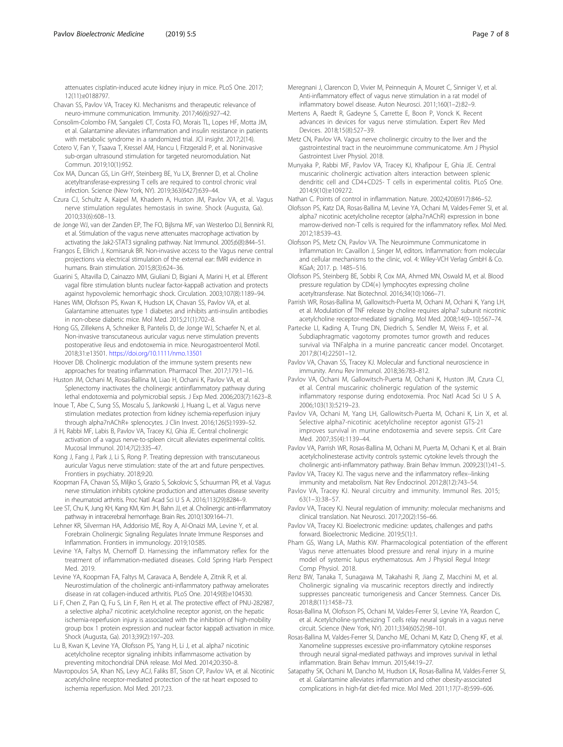<span id="page-6-0"></span>attenuates cisplatin-induced acute kidney injury in mice. PLoS One. 2017; 12(11):e0188797.

- Chavan SS, Pavlov VA, Tracey KJ. Mechanisms and therapeutic relevance of neuro-immune communication. Immunity. 2017;46(6):927–42.
- Consolim-Colombo FM, Sangaleti CT, Costa FO, Morais TL, Lopes HF, Motta JM, et al. Galantamine alleviates inflammation and insulin resistance in patients with metabolic syndrome in a randomized trial. JCI insight. 2017;2(14).
- Cotero V, Fan Y, Tsaava T, Kressel AM, Hancu I, Fitzgerald P, et al. Noninvasive sub-organ ultrasound stimulation for targeted neuromodulation. Nat Commun. 2019;10(1):952.
- Cox MA, Duncan GS, Lin GHY, Steinberg BE, Yu LX, Brenner D, et al. Choline acetyltransferase-expressing T cells are required to control chronic viral infection. Science (New York, NY). 2019;363(6427):639–44.
- Czura CJ, Schultz A, Kaipel M, Khadem A, Huston JM, Pavlov VA, et al. Vagus nerve stimulation regulates hemostasis in swine. Shock (Augusta, Ga). 2010;33(6):608–13.
- de Jonge WJ, van der Zanden EP, The FO, Bijlsma MF, van Westerloo DJ, Bennink RJ, et al. Stimulation of the vagus nerve attenuates macrophage activation by activating the Jak2-STAT3 signaling pathway. Nat Immunol. 2005;6(8):844–51.
- Frangos E, Ellrich J, Komisaruk BR. Non-invasive access to the Vagus nerve central projections via electrical stimulation of the external ear: fMRI evidence in humans. Brain stimulation. 2015;8(3):624–36.
- Guarini S, Altavilla D, Cainazzo MM, Giuliani D, Bigiani A, Marini H, et al. Efferent vagal fibre stimulation blunts nuclear factor-kappaB activation and protects against hypovolemic hemorrhagic shock. Circulation. 2003;107(8):1189–94.
- Hanes WM, Olofsson PS, Kwan K, Hudson LK, Chavan SS, Pavlov VA, et al. Galantamine attenuates type 1 diabetes and inhibits anti-insulin antibodies in non-obese diabetic mice. Mol Med. 2015;21(1):702–8.
- Hong GS, Zillekens A, Schneiker B, Pantelis D, de Jonge WJ, Schaefer N, et al. Non-invasive transcutaneous auricular vagus nerve stimulation prevents postoperative ileus and endotoxemia in mice. Neurogastroenterol Motil. 2018;31:e13501. <https://doi.org/10.1111/nmo.13501>
- Hoover DB. Cholinergic modulation of the immune system presents new approaches for treating inflammation. Pharmacol Ther. 2017;179:1–16.
- Huston JM, Ochani M, Rosas-Ballina M, Liao H, Ochani K, Pavlov VA, et al. Splenectomy inactivates the cholinergic antiinflammatory pathway during lethal endotoxemia and polymicrobial sepsis. J Exp Med. 2006;203(7):1623–8.
- Inoue T, Abe C, Sung SS, Moscalu S, Jankowski J, Huang L, et al. Vagus nerve stimulation mediates protection from kidney ischemia-reperfusion injury through alpha7nAChR+ splenocytes. J Clin Invest. 2016;126(5):1939–52.
- Ji H, Rabbi MF, Labis B, Pavlov VA, Tracey KJ, Ghia JE. Central cholinergic activation of a vagus nerve-to-spleen circuit alleviates experimental colitis. Mucosal Immunol. 2014;7(2):335–47.
- Kong J, Fang J, Park J, Li S, Rong P. Treating depression with transcutaneous auricular Vagus nerve stimulation: state of the art and future perspectives. Frontiers in psychiatry. 2018;9:20.
- Koopman FA, Chavan SS, Miljko S, Grazio S, Sokolovic S, Schuurman PR, et al. Vagus nerve stimulation inhibits cytokine production and attenuates disease severity in rheumatoid arthritis. Proc Natl Acad Sci U S A. 2016;113(29):8284–9.
- Lee ST, Chu K, Jung KH, Kang KM, Kim JH, Bahn JJ, et al. Cholinergic anti-inflammatory pathway in intracerebral hemorrhage. Brain Res. 2010;1309:164–71.
- Lehner KR, Silverman HA, Addorisio ME, Roy A, Al-Onaizi MA, Levine Y, et al. Forebrain Cholinergic Signaling Regulates Innate Immune Responses and Inflammation. Frontiers in immunology. 2019;10:585.
- Levine YA, Faltys M, Chernoff D. Harnessing the inflammatory reflex for the treatment of inflammation-mediated diseases. Cold Spring Harb Perspect Med. 2019.
- Levine YA, Koopman FA, Faltys M, Caravaca A, Bendele A, Zitnik R, et al. Neurostimulation of the cholinergic anti-inflammatory pathway ameliorates disease in rat collagen-induced arthritis. PLoS One. 2014;9(8):e104530.
- Li F, Chen Z, Pan Q, Fu S, Lin F, Ren H, et al. The protective effect of PNU-282987, a selective alpha7 nicotinic acetylcholine receptor agonist, on the hepatic ischemia-reperfusion injury is associated with the inhibition of high-mobility group box 1 protein expression and nuclear factor kappaB activation in mice. Shock (Augusta, Ga). 2013;39(2):197–203.
- Lu B, Kwan K, Levine YA, Olofsson PS, Yang H, Li J, et al. alpha7 nicotinic acetylcholine receptor signaling inhibits inflammasome activation by preventing mitochondrial DNA release. Mol Med. 2014;20:350–8.
- Mavropoulos SA, Khan NS, Levy ACJ, Faliks BT, Sison CP, Pavlov VA, et al. Nicotinic acetylcholine receptor-mediated protection of the rat heart exposed to ischemia reperfusion. Mol Med. 2017;23.
- Meregnani J, Clarencon D, Vivier M, Peinnequin A, Mouret C, Sinniger V, et al. Anti-inflammatory effect of vagus nerve stimulation in a rat model of inflammatory bowel disease. Auton Neurosci. 2011;160(1–2):82–9.
- Mertens A, Raedt R, Gadeyne S, Carrette E, Boon P, Vonck K. Recent advances in devices for vagus nerve stimulation. Expert Rev Med Devices. 2018;15(8):527–39.
- Metz CN, Pavlov VA. Vagus nerve cholinergic circuitry to the liver and the gastrointestinal tract in the neuroimmune communicatome. Am J Physiol Gastrointest Liver Physiol. 2018.
- Munyaka P, Rabbi MF, Pavlov VA, Tracey KJ, Khafipour E, Ghia JE. Central muscarinic cholinergic activation alters interaction between splenic dendritic cell and CD4+CD25- T cells in experimental colitis. PLoS One. 2014;9(10):e109272.
- Nathan C. Points of control in inflammation. Nature. 2002;420(6917):846–52.
- Olofsson PS, Katz DA, Rosas-Ballina M, Levine YA, Ochani M, Valdes-Ferrer SI, et al. alpha7 nicotinic acetylcholine receptor (alpha7nAChR) expression in bone marrow-derived non-T cells is required for the inflammatory reflex. Mol Med. 2012;18:539–43.
- Olofsson PS, Metz CN, Pavlov VA. The Neuroimmune Communicatome in Inflammation In: Cavaillon J, Singer M, editors. Inflammation: from molecular and cellular mechanisms to the clinic, vol. 4: Wiley-VCH Verlag GmbH & Co. KGaA; 2017. p. 1485–516.
- Olofsson PS, Steinberg BE, Sobbi R, Cox MA, Ahmed MN, Oswald M, et al. Blood pressure regulation by CD4(+) lymphocytes expressing choline acetyltransferase. Nat Biotechnol. 2016;34(10):1066–71.
- Parrish WR, Rosas-Ballina M, Gallowitsch-Puerta M, Ochani M, Ochani K, Yang LH, et al. Modulation of TNF release by choline requires alpha7 subunit nicotinic acetylcholine receptor-mediated signaling. Mol Med. 2008;14(9–10):567–74.
- Partecke LI, Kading A, Trung DN, Diedrich S, Sendler M, Weiss F, et al. Subdiaphragmatic vagotomy promotes tumor growth and reduces survival via TNFalpha in a murine pancreatic cancer model. Oncotarget. 2017;8(14):22501–12.
- Pavlov VA, Chavan SS, Tracey KJ. Molecular and functional neuroscience in immunity. Annu Rev Immunol. 2018;36:783–812.
- Pavlov VA, Ochani M, Gallowitsch-Puerta M, Ochani K, Huston JM, Czura CJ, et al. Central muscarinic cholinergic regulation of the systemic inflammatory response during endotoxemia. Proc Natl Acad Sci U S A. 2006;103(13):5219–23.
- Pavlov VA, Ochani M, Yang LH, Gallowitsch-Puerta M, Ochani K, Lin X, et al. Selective alpha7-nicotinic acetylcholine receptor agonist GTS-21 improves survival in murine endotoxemia and severe sepsis. Crit Care Med. 2007;35(4):1139–44.
- Pavlov VA, Parrish WR, Rosas-Ballina M, Ochani M, Puerta M, Ochani K, et al. Brain acetylcholinesterase activity controls systemic cytokine levels through the cholinergic anti-inflammatory pathway. Brain Behav Immun. 2009;23(1):41–5.
- Pavlov VA, Tracey KJ. The vagus nerve and the inflammatory reflex--linking immunity and metabolism. Nat Rev Endocrinol. 2012;8(12):743–54.
- Pavlov VA, Tracey KJ. Neural circuitry and immunity. Immunol Res. 2015; 63(1–3):38–57.
- Pavlov VA, Tracey KJ. Neural regulation of immunity: molecular mechanisms and clinical translation. Nat Neurosci. 2017;20(2):156–66.
- Pavlov VA, Tracey KJ. Bioelectronic medicine: updates, challenges and paths forward. Bioelectronic Medicine. 2019;5(1):1.
- Pham GS, Wang LA, Mathis KW. Pharmacological potentiation of the efferent Vagus nerve attenuates blood pressure and renal injury in a murine model of systemic lupus erythematosus. Am J Physiol Regul Integr Comp Physiol. 2018.
- Renz BW, Tanaka T, Sunagawa M, Takahashi R, Jiang Z, Macchini M, et al. Cholinergic signaling via muscarinic receptors directly and indirectly suppresses pancreatic tumorigenesis and Cancer Stemness. Cancer Dis. 2018;8(11):1458–73.
- Rosas-Ballina M, Olofsson PS, Ochani M, Valdes-Ferrer SI, Levine YA, Reardon C, et al. Acetylcholine-synthesizing T cells relay neural signals in a vagus nerve circuit. Science (New York, NY). 2011;334(6052):98–101.
- Rosas-Ballina M, Valdes-Ferrer SI, Dancho ME, Ochani M, Katz D, Cheng KF, et al. Xanomeline suppresses excessive pro-inflammatory cytokine responses through neural signal-mediated pathways and improves survival in lethal inflammation. Brain Behav Immun. 2015;44:19–27.
- Satapathy SK, Ochani M, Dancho M, Hudson LK, Rosas-Ballina M, Valdes-Ferrer SI, et al. Galantamine alleviates inflammation and other obesity-associated complications in high-fat diet-fed mice. Mol Med. 2011;17(7–8):599–606.